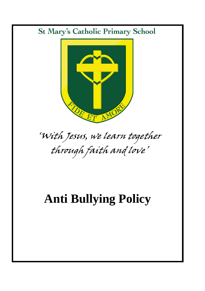# **St Mary's Catholic Primary School**



# 'With Jesus, we learn together through faith and love'

# **Anti Bullying Policy**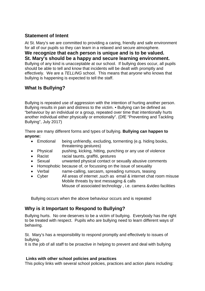### **Statement of Intent**

At St. Mary's we are committed to providing a caring, friendly and safe environment for all of our pupils so they can learn in a relaxed and secure atmosphere. **We recognize that each person is unique and is to be valued. St. Mary's should be a happy and secure learning environment.** Bullying of any kind is unacceptable at our school. If bullying does occur, all pupils should be able to tell and know that incidents will be dealt with promptly and effectively. We are a *TELLING* school. This means that *anyone* who knows that bullying is happening is expected to tell the staff.

# **What Is Bullying?**

Bullying is repeated use of aggression with the intention of hurting another person. Bullying results in pain and distress to the victim. • Bullying can be defined as "behaviour by an individual or a group, repeated over time that intentionally hurts another individual either physically or emotionally". (DfE "Preventing and Tackling Bullying", July 2017)

There are many different forms and types of bullying. **Bullying can happen to anyone:**

- Emotional being unfriendly, excluding, tormenting (e.g. hiding books, threatening gestures)
- Physical pushing, kicking, hitting, punching or any use of violence
- Racist racial taunts, graffiti, gestures
- Sexual unwanted physical contact or sexually abusive comments
- Homophobic because of, or focussing on the issue of sexuality
- Verbal name-calling, sarcasm, spreading rumours, teasing
- Cyber All areas of internet ,such as email & internet chat room misuse Mobile threats by text messaging & calls Misuse of associated technology , i.e. camera &video facilities

Bullying occurs when the above behaviour occurs and is repeated

## **Why is it Important to Respond to Bullying?**

Bullying hurts. No one deserves to be a victim of bullying. Everybody has the right to be treated with respect. Pupils who are bullying need to learn different ways of behaving.

St. Mary's has a responsibility to respond promptly and effectively to issues of bullying.

It is the job of all staff to be proactive in helping to prevent and deal with bullying

#### **Links with other school policies and practices**

This policy links with several school policies, practices and action plans including: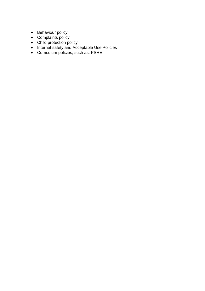- Behaviour policy
- Complaints policy
- Child protection policy
- Internet safety and Acceptable Use Policies
- Curriculum policies, such as: PSHE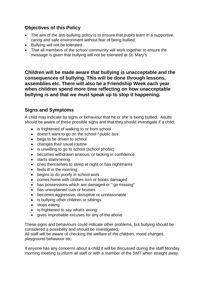### **Objectives of this Policy**

- The aim of the anti-bullying policy is to ensure that pupils learn in a supportive, caring and safe environment without fear of being bullied,
- Bullying will not be tolerated.
- That all members of the school community will work together to ensure the message is given that bullying will not be tolerated at St. Mary's

**Children will be made aware that bullying is unacceptable and the consequences of bullying. This will be done through lessons, assemblies etc. There will also be a Friendship Week each year when children spend more time reflecting on how unacceptable bullying is and that we must speak up to stop it happening.**

### **Signs and Symptoms**

A child may indicate by signs or behaviour that he or she is being bullied. Adults should be aware of these possible signs and that they should investigate if a child:

- is frightened of walking to or from school
- doesn't want to go on the school / public bus
- begs to be driven to school
- changes their usual routine
- is unwilling to go to school (school phobic)
- becomes withdrawn anxious, or lacking in confidence
- starts stammering
- cries themselves to sleep at night or has nightmares
- feels ill in the morning
- begins to do poorly in school work
- comes home with clothes torn or books damaged
- has possessions which are damaged or " go missing"
- has unexplained cuts or bruises
- becomes aggressive, disruptive or unreasonable
- is bullying other children or siblings
- stops eating
- is frightened to say what's wrong
- gives improbable excuses for any of the above

These signs and behaviours could indicate other problems, but bullying should be considered a possibility and should be investigated.

All staff will be aware of checking the welfare of the children, mood changes, playground behaviour etc.

If anyone has any concerns about a child it will be discussed during the staff Monday morning meeting to inform all staff or with a member of the SMT when straight away.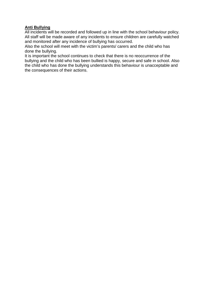#### **Anti Bullying**

All incidents will be recorded and followed up in line with the school behaviour policy. All staff will be made aware of any incidents to ensure children are carefully watched and monitored after any incidence of bullying has occurred.

Also the school will meet with the victim's parents/ carers and the child who has done the bullying.

It is important the school continues to check that there is no reoccurrence of the bullying and the child who has been bullied is happy, secure and safe in school. Also the child who has done the bullying understands this behaviour is unacceptable and the consequences of their actions.